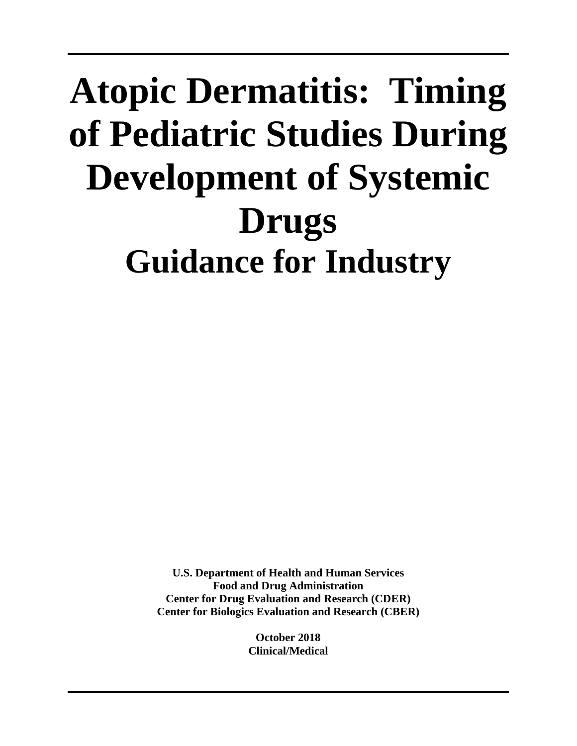# **Atopic Dermatitis: Timing of Pediatric Studies During Development of Systemic Drugs Guidance for Industry**

**U.S. Department of Health and Human Services Food and Drug Administration Center for Drug Evaluation and Research (CDER) Center for Biologics Evaluation and Research (CBER)**

> **October 2018 Clinical/Medical**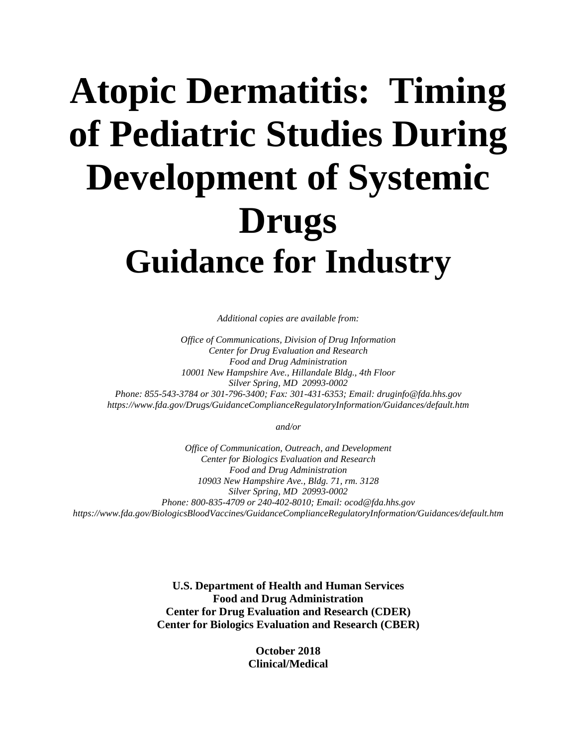# **Atopic Dermatitis: Timing of Pediatric Studies During Development of Systemic Drugs Guidance for Industry**

*Additional copies are available from:*

*Office of Communications, Division of Drug Information Center for Drug Evaluation and Research Food and Drug Administration 10001 New Hampshire Ave., Hillandale Bldg., 4th Floor Silver Spring, MD 20993-0002 Phone: 855-543-3784 or 301-796-3400; Fax: 301-431-6353; Email: druginfo@fda.hhs.gov https://www.fda.gov/Drugs/GuidanceComplianceRegulatoryInformation/Guidances/default.htm*

*and/or*

*Office of Communication, Outreach, and Development Center for Biologics Evaluation and Research Food and Drug Administration 10903 New Hampshire Ave., Bldg. 71, rm. 3128 Silver Spring, MD 20993-0002 Phone: 800-835-4709 or 240-402-8010; Email: ocod@fda.hhs.gov https://www.fda.gov/BiologicsBloodVaccines/GuidanceComplianceRegulatoryInformation/Guidances/default.htm*

> **U.S. Department of Health and Human Services Food and Drug Administration Center for Drug Evaluation and Research (CDER) Center for Biologics Evaluation and Research (CBER)**

> > **October 2018 Clinical/Medical**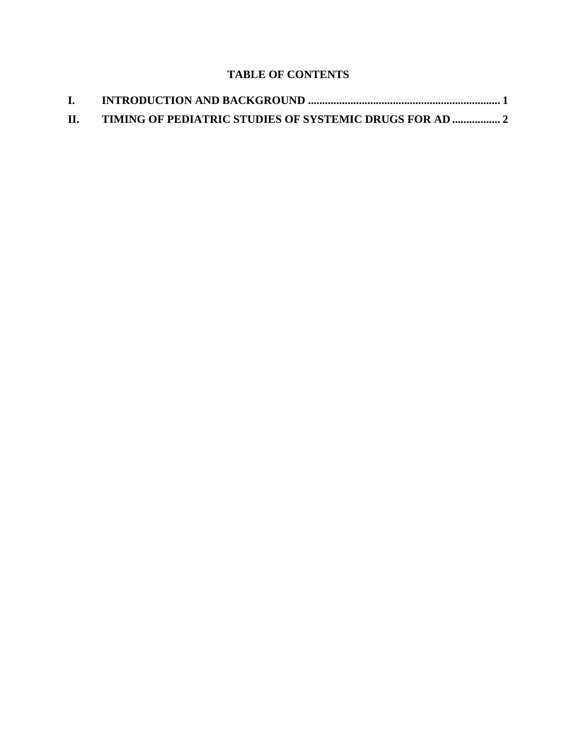## **TABLE OF CONTENTS**

| П. |  |
|----|--|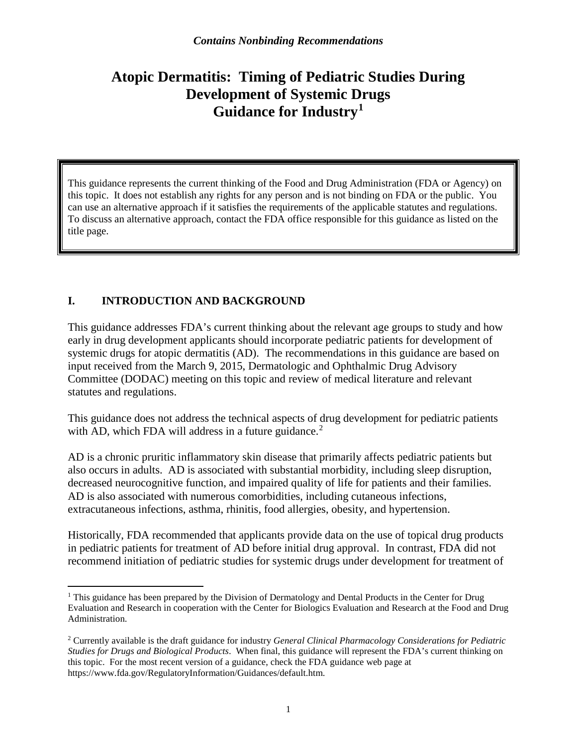# **Atopic Dermatitis: Timing of Pediatric Studies During Development of Systemic Drugs Guidance for Industry[1](#page-3-0)**

This guidance represents the current thinking of the Food and Drug Administration (FDA or Agency) on this topic. It does not establish any rights for any person and is not binding on FDA or the public. You can use an alternative approach if it satisfies the requirements of the applicable statutes and regulations. To discuss an alternative approach, contact the FDA office responsible for this guidance as listed on the title page.

### **I. INTRODUCTION AND BACKGROUND**

This guidance addresses FDA's current thinking about the relevant age groups to study and how early in drug development applicants should incorporate pediatric patients for development of systemic drugs for atopic dermatitis (AD). The recommendations in this guidance are based on input received from the March 9, 2015, Dermatologic and Ophthalmic Drug Advisory Committee (DODAC) meeting on this topic and review of medical literature and relevant statutes and regulations.

This guidance does not address the technical aspects of drug development for pediatric patients with AD, which FDA will address in a future guidance. $2$ 

AD is a chronic pruritic inflammatory skin disease that primarily affects pediatric patients but also occurs in adults. AD is associated with substantial morbidity, including sleep disruption, decreased neurocognitive function, and impaired quality of life for patients and their families. AD is also associated with numerous comorbidities, including cutaneous infections, extracutaneous infections, asthma, rhinitis, food allergies, obesity, and hypertension.

Historically, FDA recommended that applicants provide data on the use of topical drug products in pediatric patients for treatment of AD before initial drug approval. In contrast, FDA did not recommend initiation of pediatric studies for systemic drugs under development for treatment of

<span id="page-3-0"></span><sup>&</sup>lt;sup>1</sup> This guidance has been prepared by the Division of Dermatology and Dental Products in the Center for Drug Evaluation and Research in cooperation with the Center for Biologics Evaluation and Research at the Food and Drug Administration.

<span id="page-3-1"></span><sup>2</sup> Currently available is the draft guidance for industry *General Clinical Pharmacology Considerations for Pediatric Studies for Drugs and Biological Products*. When final, this guidance will represent the FDA's current thinking on this topic. For the most recent version of a guidance, check the FDA guidance web page at [https://www.fda.gov/RegulatoryInformation/Guidances/default.htm.](https://www.fda.gov/RegulatoryInformation/Guidances/default.htm)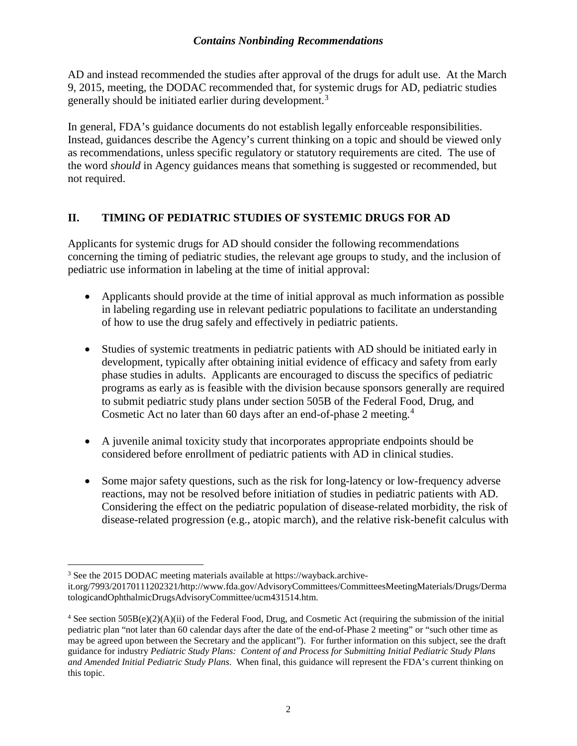#### *Contains Nonbinding Recommendations*

AD and instead recommended the studies after approval of the drugs for adult use. At the March 9, 2015, meeting, the DODAC recommended that, for systemic drugs for AD, pediatric studies generally should be initiated earlier during development.<sup>[3](#page-4-0)</sup>

In general, FDA's guidance documents do not establish legally enforceable responsibilities. Instead, guidances describe the Agency's current thinking on a topic and should be viewed only as recommendations, unless specific regulatory or statutory requirements are cited. The use of the word *should* in Agency guidances means that something is suggested or recommended, but not required.

### **II. TIMING OF PEDIATRIC STUDIES OF SYSTEMIC DRUGS FOR AD**

Applicants for systemic drugs for AD should consider the following recommendations concerning the timing of pediatric studies, the relevant age groups to study, and the inclusion of pediatric use information in labeling at the time of initial approval:

- Applicants should provide at the time of initial approval as much information as possible in labeling regarding use in relevant pediatric populations to facilitate an understanding of how to use the drug safely and effectively in pediatric patients.
- Studies of systemic treatments in pediatric patients with AD should be initiated early in development, typically after obtaining initial evidence of efficacy and safety from early phase studies in adults. Applicants are encouraged to discuss the specifics of pediatric programs as early as is feasible with the division because sponsors generally are required to submit pediatric study plans under section 505B of the Federal Food, Drug, and Cosmetic Act no later than 60 days after an end-of-phase 2 meeting.[4](#page-4-1)
- A juvenile animal toxicity study that incorporates appropriate endpoints should be considered before enrollment of pediatric patients with AD in clinical studies.
- Some major safety questions, such as the risk for long-latency or low-frequency adverse reactions, may not be resolved before initiation of studies in pediatric patients with AD. Considering the effect on the pediatric population of disease-related morbidity, the risk of disease-related progression (e.g., atopic march), and the relative risk-benefit calculus with

<span id="page-4-0"></span> <sup>3</sup> See the 2015 DODAC meeting materials available at [https://wayback.archive-](https://wayback.archive-it.org/7993/20170111202321/http:/www.fda.gov/AdvisoryCommittees/CommitteesMeetingMaterials/Drugs/DermatologicandOphthalmicDrugsAdvisoryCommittee/ucm431514.htm)

[it.org/7993/20170111202321/http://www.fda.gov/AdvisoryCommittees/CommitteesMeetingMaterials/Drugs/Derma](https://wayback.archive-it.org/7993/20170111202321/http:/www.fda.gov/AdvisoryCommittees/CommitteesMeetingMaterials/Drugs/DermatologicandOphthalmicDrugsAdvisoryCommittee/ucm431514.htm) [tologicandOphthalmicDrugsAdvisoryCommittee/ucm431514.htm.](https://wayback.archive-it.org/7993/20170111202321/http:/www.fda.gov/AdvisoryCommittees/CommitteesMeetingMaterials/Drugs/DermatologicandOphthalmicDrugsAdvisoryCommittee/ucm431514.htm)

<span id="page-4-1"></span><sup>&</sup>lt;sup>4</sup> See section 505B(e)(2)(A)(ii) of the Federal Food, Drug, and Cosmetic Act (requiring the submission of the initial pediatric plan "not later than 60 calendar days after the date of the end-of-Phase 2 meeting" or "such other time as may be agreed upon between the Secretary and the applicant"). For further information on this subject, see the draft guidance for industry *Pediatric Study Plans: Content of and Process for Submitting Initial Pediatric Study Plans and Amended Initial Pediatric Study Plans*. When final, this guidance will represent the FDA's current thinking on this topic.